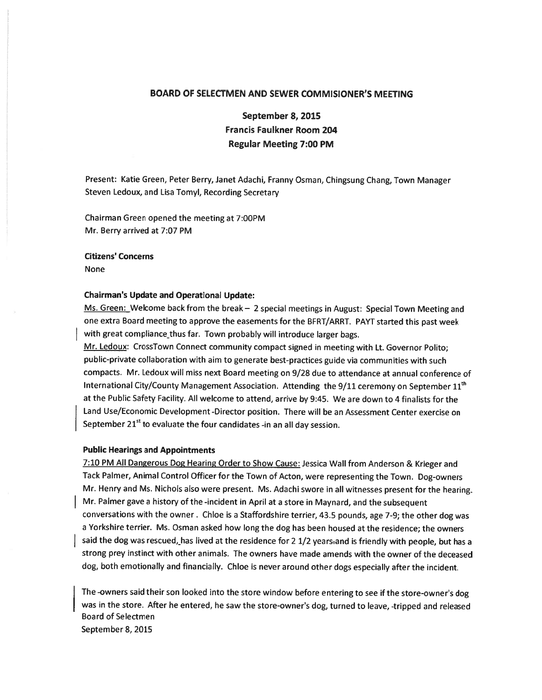## BOARD OF SELECTMEN AND SEWER COMMISIONER'S MEETING

September 8, 2015 Francis Faulkner Room 204 Regular Meeting 7:00 PM

Present: Katie Green, Peter Berry, Janet Adachi, Franny Osman, Chingsung Chang, Town Manager Steven Ledoux, and Lisa Tomyl, Recording Secretary

Chairman Green opened the meeting at 7:00PM Mr. Berry arrived at 7:07 PM

Citizens' Concerns

None

## Chairman's Update and Operational Update:

Ms. Green: Welcome back from the break - 2 special meetings in August: Special Town Meeting and one extra Board meeting to approve the easements for the BFRT/ARRT. PAYT started this pas<sup>t</sup> week with great compliance thus far. Town probably will introduce larger bags.

Mr. Ledoux: CrossTown Connect community compact signed in meeting with Lt. Governor Polito; public-private collaboration with aim to generate best-practices guide via communities with such compacts. Mr. Ledoux will miss next Board meeting on 9/28 due to attendance at annual conference of International City/County Management Association. Attending the 9/11 ceremony on September 11<sup>th</sup> at the Public Safety Facility. All welcome to attend, arrive by 9:45. We are down to <sup>4</sup> finalists for the Land Use/Economic Development -Director position. There will be an Assessment Center exercise on September  $21<sup>st</sup>$  to evaluate the four candidates -in an all day session.

## Public Hearings and Appointments

7:10 PM All Dangerous Dog Hearing Order to Show Cause: Jessica Wall from Anderson & Krieger and Tack Palmer, Animal Control Officer for the Town of Acton, were representing the Town. Dog-owners Mr. Henry and Ms. Nichols also were present. Ms. Adachi swore in all witnesses presen<sup>t</sup> for the hearing. Mr. Palmer gave <sup>a</sup> history of the -incident in April at <sup>a</sup> store in Maynard, and the subsequent conversations with the owner. Chloe is <sup>a</sup> Staffordshire terrier, 43.5 pounds, age 7-9; the other dog was <sup>a</sup> Yorkshire terrier. Ms. Osman asked how long the dog has been housed at the residence; the owners said the dog was rescued, has lived at the residence for 2 1/2 years-and is friendly with people, but has a strong prey instinct with other animals. The owners have made amends with the owner of the deceased dog, both emotionally and financially. Chloe is never around other dogs especially after the incident.

The -owners said their son looked into the store window before entering to see if the store-owner's dog was in the store. After he entered, he saw the store-owner's dog, turned to leave, -tripped and released Board of Selectmen September 8, 2015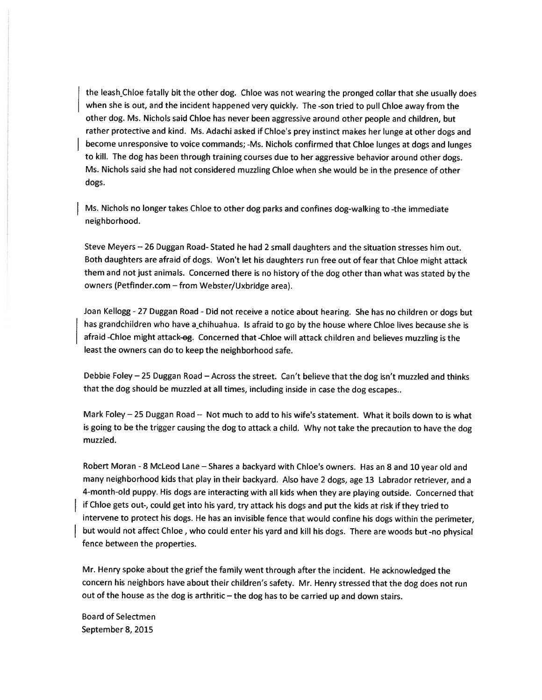the leash Chloe fatally bit the other dog. Chloe was not wearing the pronge<sup>d</sup> collar that she usually does when she is out, and the incident happened very quickly. The -son tried to pull Chloe away from the other dog. Ms. Nichols said Chloe has never been aggressive around other people and children, but rather protective and kind. Ms. Adachi asked if Chloe's prey instinct makes her lunge at other dogs and become unresponsive to voice commands; -Ms. Nichols confirmed that Chloe lunges at dogs and lunges to kill. The dog has been through training courses due to her aggressive behavior around other dogs. Ms. Nichols said she had not considered muzzling Chloe when she would be in the presence of other dogs.

Ms. Nichols no longer takes Chloe to other dog parks and confines dog-walking to -the immediate neighborhood.

Steve Meyers — <sup>26</sup> Duggan Road- Stated he had <sup>2</sup> small daughters and the situation stresses him out. Both daughters are afraid of dogs. Won't let his daughters run free out of fear that Chloe might attack them and not just animals. Concerned there is no history of the dog other than what was stated by the owners (Petfinder.com — from Webster/Uxbridge area).

Joan Kellogg -27 Duggan Road -Did not receive <sup>a</sup> notice about hearing. She has no children or dogs but has grandchildren who have a\_chihuahua. Is afraid to go by the house where Chloe lives because she is afraid -Chloe might attack-og. Concerned that -Chloe will attack children and believes muzzling is the least the owners can do to keep the neighborhood safe.

Debbie Foley —25 Duggan Road — Across the street. Can't believe that the dog isn't muzzled and thinks that the dog should be muzzled at all times, including inside in case the dog escapes..

Mark Foley —25 Duggan Road — Not much to add to his wife's statement. What it boils down to is what is going to be the trigger causing the dog to attack <sup>a</sup> child. Why not take the precaution to have the dog muzzled.

Robert Moran -8 McLeod Lane — Shares <sup>a</sup> backyard with Chloe's owners. Has an <sup>8</sup> and <sup>10</sup> year old and many neighborhood kids that <sup>p</sup>lay in their backyard. Also have <sup>2</sup> dogs, age <sup>13</sup> Labrador retriever, and <sup>a</sup> 4-month-old puppy. His dogs are interacting with all kids when they are <sup>p</sup>laying outside. Concerned that if Chloe gets out-, could ge<sup>t</sup> into his yard, try attack his dogs and pu<sup>t</sup> the kids at risk if they tried to intervene to protect his dogs. He has an invisible fence that would confine his dogs within the perimeter, but would not affect Chloe, who could enter his yar<sup>d</sup> and kill his dogs. There are woods but -no <sup>p</sup>hysical fence between the properties.

Mr. Henry spoke about the grief the family went through after the incident. He acknowledged the concern his neighbors have about their children's safety. Mr. Henry stressed that the dog does not run out of the house as the dog is arthritic  $-$  the dog has to be carried up and down stairs.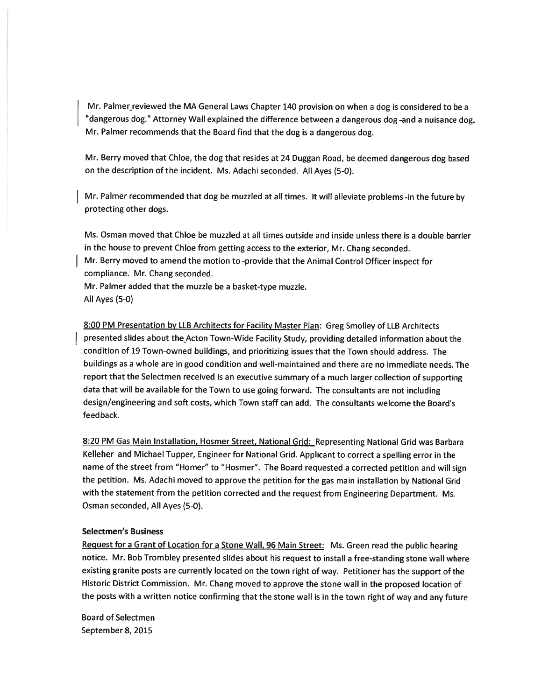Mr. Palmer reviewed the MA General Laws Chapter 140 provision on when a dog is considered to be a "dangerous dog." Attorney Wall explained the difference between a dangerous dog-and a nuisance dog. Mr. Palmer recommends that the Board find that the dog is <sup>a</sup> dangerous dog.

Mr. Berry moved that Chloe, the dog that resides at <sup>24</sup> Duggan Road, be deemed dangerous dog based on the description of the incident. Ms. Adachi seconded. All Ayes (5-0).

Mr. Palmer recommended that dog be muzzled at all times. It will alleviate problems -in the future by protecting other dogs.

Ms. Osman moved that Chloe be muzzled at all times outside and inside unless there is <sup>a</sup> double barrier in the house to preven<sup>t</sup> Chloe from getting access to the exterior, Mr. Chang seconded.

Mr. Berry moved to amend the motion to -provide that the Animal Control Officer inspect for compliance. Mr. Chang seconded.

Mr. Palmer added that the muzzle be <sup>a</sup> basket-type muzzle.

All Ayes (5-0)

8:00 PM Presentation by LLB Architects for Facility Master Plan: Greg Smolley of LLB Architects presented slides about the Acton Town-Wide Facility Study, providing detailed information about the condition of 19 Town-owned buildings, and prioritizing issues that the Town should address. The buildings as <sup>a</sup> whole are in good condition and well-maintained and there are no immediate needs. The repor<sup>t</sup> that the Selectmen received is an executive summary of <sup>a</sup> much larger collection of supporting data that will be available for the Town to use going forward. The consultants are not including design/engineering and soft costs, which Town staff can add. The consultants welcome the Board's feedback.

8:20 PM Gas Main Installation, Hosmer Street, National Grid: Representing National Grid was Barbara Kelleher and Michael Tupper, Engineer for National Grid. Applicant to correct <sup>a</sup> spelling error in the name of the street from "Homer" to "Hosmer". The Board requested <sup>a</sup> corrected petition and will sign the petition. Ms. Adachi moved to approve the petition for the gas main installation by National Grid with the statement from the petition corrected and the reques<sup>t</sup> from Engineering Department. Ms. Osman seconded, All Ayes (5-0).

## Selectmen's Business

Request for a Grant of Location for a Stone Wall, 96 Main Street: Ms. Green read the public hearing notice. Mr. Bob Trombley presented slides about his reques<sup>t</sup> to install <sup>a</sup> free-standing stone wall where existing granite posts are currently located on the town right of way. Petitioner has the suppor<sup>t</sup> of the Historic District Commission. Mr. Chang moved to approve the stone wall in the propose<sup>d</sup> location of the posts with <sup>a</sup> written notice confirming that the stone wall is in the town right of way and any future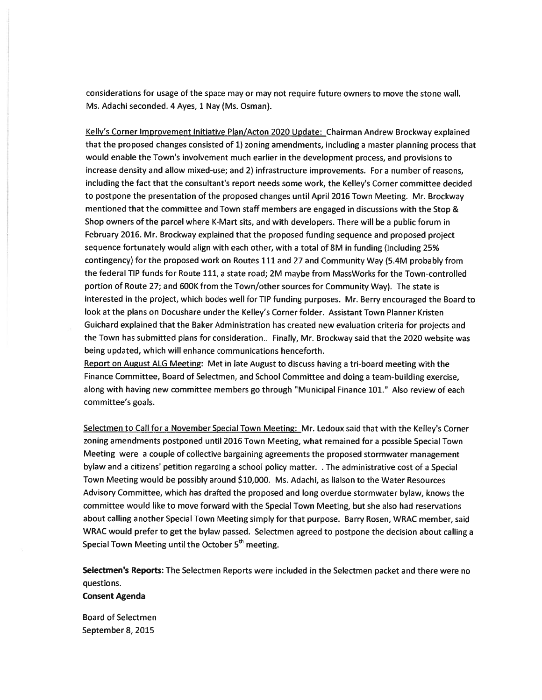considerations for usage of the space may or may not require future owners to move the stone wall. Ms. Adachi seconded. 4 Ayes, 1 Nay (Ms. Osman).

Kelly's Corner Improvement Initiative PIan/Acton 2020 Update: Chairman Andrew Brockway explained that the proposed changes consisted of 1) zoning amendments, including <sup>a</sup> master planning process that would enable the Town's involvement much earlier in the development process, and provisions to increase density and allow mixed-use; and 2) infrastructure improvements. For <sup>a</sup> number of reasons, including the fact that the consultant's report needs some work, the Kelley's Corner committee decided to postpone the presentation of the proposed changes until April 2016 Town Meeting. Mr. Brockway mentioned that the committee and Town staff members are engage<sup>d</sup> in discussions with the Stop & Shop owners of the parcel where K-Mart sits, and with developers. There will be <sup>a</sup> public forum in February 2016. Mr. Brockway explained that the proposed funding sequence and proposed project sequence fortunately would align with each other, with <sup>a</sup> total of 8M in funding (including 25% contingency) for the proposed work on Routes 111 and 27 and Community Way (5.4M probably from the federal TIP funds for Route 111, <sup>a</sup> state road; 2M maybe from MassWorks for the Town-controlled portion of Route 27; and 600K from the Town/other sources for Community Way). The state is interested in the project, which bodes well for TIP funding purposes. Mr. Berry encouraged the Board to look at the plans on Docushare under the Kelley's Corner folder. Assistant Town Planner Kristen Guichard explained that the Baker Administration has created new evaluation criteria for projects and the Town has submitted plans for consideration.. Finally, Mr. Brockway said that the 2020 website was being updated, which will enhance communications henceforth.

Report on August ALG Meeting: Met in late August to discuss having a tri-board meeting with the Finance Committee, Board of Selectmen, and School Committee and doing <sup>a</sup> team-building exercise, along with having new committee members go through "Municipal Finance 101.' Also review of each committee's goals.

Selectmen to Call for <sup>a</sup> November Special Town Meeting: Mr. Ledoux said that with the Kelley's Corner zoning amendments postponed until <sup>2016</sup> Town Meeting, what remained for <sup>a</sup> possible Special Town Meeting were <sup>a</sup> couple of collective bargaining agreements the proposed stormwater managemen<sup>t</sup> bylaw and <sup>a</sup> citizens' petition regarding <sup>a</sup> school policy matter. . The administrative cost of <sup>a</sup> Special Town Meeting would be possibly around \$10,000. Ms. Adachi, as liaison to the Water Resources Advisory Committee, which has drafted the propose<sup>d</sup> and long overdue stormwater bylaw, knows the committee would like to move forward with the Special Town Meeting, but she also had reservations about calling another Special Town Meeting simply for that purpose. Barry Rosen, WRAC member, said WRAC would prefer to ge<sup>t</sup> the bylaw passed. Selectmen agreed to postpone the decision about calling <sup>a</sup> Special Town Meeting until the October  $5<sup>th</sup>$  meeting.

Selectmen's Reports: The Selectmen Reports were included in the Selectmen packet and there were no questions.

Consent Agenda